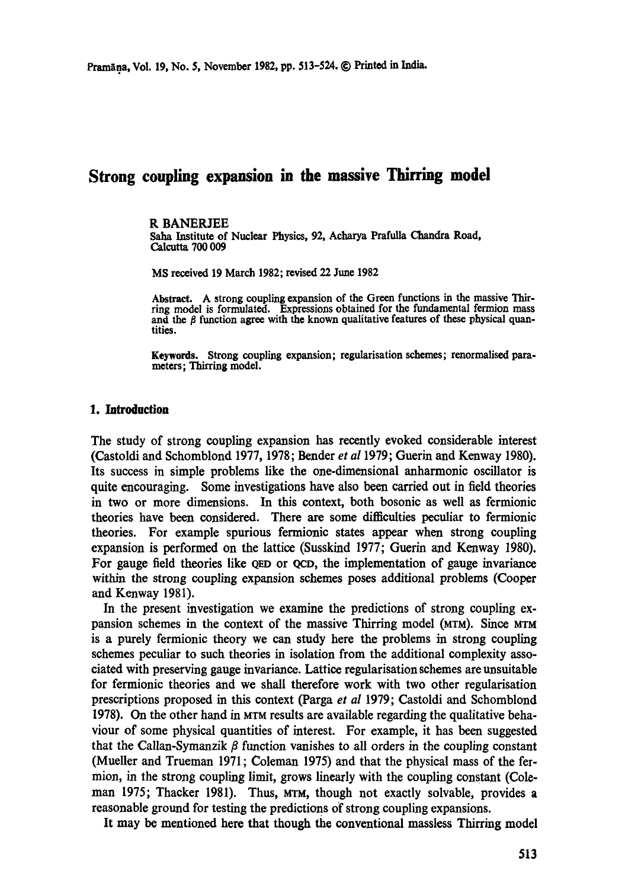# **Strong coupling expansion in the massive Thirring model**

#### R BANERJEE

Saha Institute of Nuclear Physics, 92, Acharya Prafulla Chandra Road, Calcutta 700 009

MS received 19 March 1982; revised 22 June 1982

Abstract. A strong coupling expansion of the Green functions in the massive Thirring model is formulated. Expressions obtained for the fundamental fermion mass and the  $\beta$  function agree with the known qualitative features of these physical quantities.

**Keywords.** Strong coupling expansion; regularisation schemes; renormalised para. **meters;** Thirring model.

#### **1. Introduction**

The study of strong coupling expansion has recently evoked considerable interest (Castoldi and Schomblond 1977, 1978; Bender *et al* 1979; Guerin and Kenway 1980). Its success in simple problems like the one-dimensional anharmonic oscillator is quite encouraging. Some investigations have also been carried out in field theories in two or more dimensions. In this context, both bosonic as well as fermionic theories have been considered. There are some difficulties peculiar to fermionic theories. For example spurious fermionic states appear when strong coupling expansion is performed on the lattice (Susskind 1977; Guerin and Kenway 1980). For gauge field theories like QED or QCD, the implementation of gauge invariance within the strong coupling expansion schemes poses additional problems (Cooper and Kenway 1981).

In the present investigation we examine the predictions of strong coupling expansion schemes in the context of the massive Thirring model (MTM). Since MTM is a purely fermionic theory we can study here the problems in strong coupling schemes peculiar to such theories in isolation from the additional complexity associated with preserving gauge invariance. Lattice regularisation schemes are unsuitable for fermionic theories and we shall therefore work with two other regularisation prescriptions proposed in this context (Parga *et al* 1979; Castoldi and Schomblond 1978). On the other hand in MTM results are available regarding the qualitative behaviour of some physical quantities of interest. For example, it has been suggested that the Callan-Symanzik  $\beta$  function vanishes to all orders in the coupling constant (Mueller and Trueman 1971; Coleman 1975) and that the physical mass of the fermion, in the strong coupling limit, grows linearly with the coupling constant (Coleman 1975; Thacker 1981). Thus, MTM, though not exactly solvable, provides a reasonable ground for testing the predictions of strong coupling expansions.

It may be mentioned here that though the conventional massless Thirring model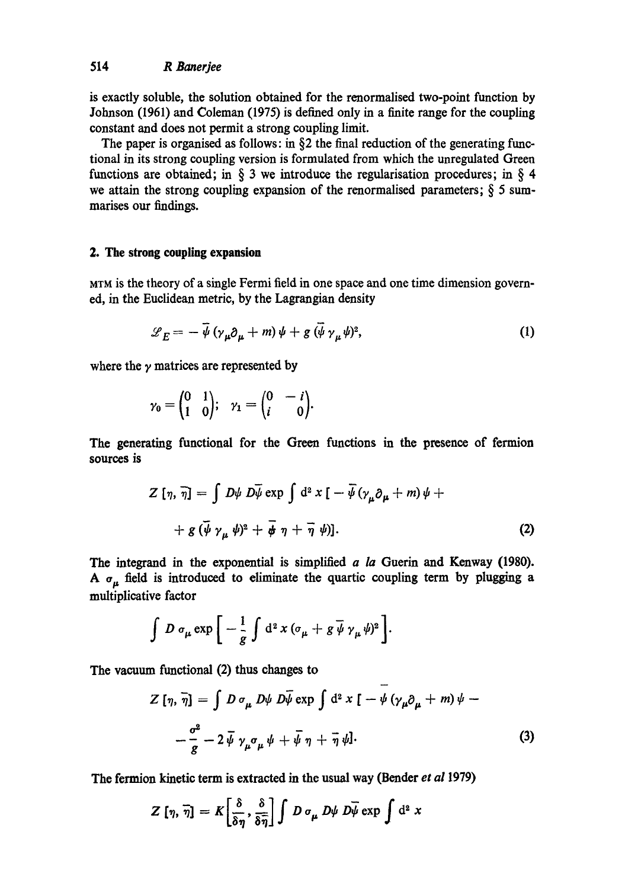is exactly soluble, the solution obtained for the renormalised two-point function by Johnson (1961) and Coleman (1975) is defined only in a finite range for the coupling constant and does not permit a strong coupling limit.

The paper is organised as follows: in  $\S$ 2 the final reduction of the generating functional in its strong coupling version is formulated from which the unregulated Green functions are obtained; in  $\S$  3 we introduce the regularisation procedures; in  $\S$  4 we attain the strong coupling expansion of the renormalised parameters;  $\S$  5 summarises our findings.

#### **2. The strong coupling expansion**

MTM is the theory of a single Fermi field in one space and one time dimension governed, in the Euclidean metric, by the Lagrangian density

$$
\mathcal{L}_E = -\bar{\psi} \left( \gamma_\mu \partial_\mu + m \right) \psi + g \left( \bar{\psi} \gamma_\mu \psi \right)^2, \tag{1}
$$

where the  $\gamma$  matrices are represented by

$$
\gamma_0 = \begin{pmatrix} 0 & 1 \\ 1 & 0 \end{pmatrix}; \quad \gamma_1 = \begin{pmatrix} 0 & -i \\ i & 0 \end{pmatrix}.
$$

The generating functional for the Green functions in the presence of fermion sources **is** 

$$
Z [\eta, \overline{\eta}] = \int D\psi \ D\overline{\psi} \exp \int d^2 x \left[ -\overline{\psi} (\gamma_\mu \partial_\mu + m) \psi + \right. + g (\overline{\psi} \gamma_\mu \psi)^2 + \overline{\phi} \eta + \overline{\eta} \psi \right]. \tag{2}
$$

The integrand in the exponential is simplified *a la* Guerin and Kenway (1980). A  $\sigma_{\mu}$  field is introduced to eliminate the quartic coupling term by plugging a multiplieative factor

$$
\int D \sigma_{\mu} \exp \bigg[ -\frac{1}{g} \int d^2 x (\sigma_{\mu} + g \overline{\psi} \gamma_{\mu} \psi)^2 \bigg].
$$

The vacuum functional (2) thus changes to

$$
Z\left[\eta,\,\overline{\eta}\right] = \int D\,\sigma_{\mu}\,D\psi\,D\overline{\psi}\exp\int d^{2}x\,\left[-\psi\left(\gamma_{\mu}\partial_{\mu} + m\right)\psi - \frac{\sigma^{2}}{g} - 2\,\overline{\psi}\,\gamma_{\mu}\sigma_{\mu}\psi + \overline{\psi}\,\eta + \overline{\eta}\,\psi\right].\tag{3}
$$

The fermion kinetic term is extracted in the usual way (Bender *et al* 1979)

$$
Z\left[\eta,\,\overline{\eta}\right]=K\bigg[\frac{\delta}{\delta\eta},\frac{\delta}{\delta\overline{\eta}}\bigg]\int D\,\sigma_{\mu}\,D\psi\,\overline{D\psi}\exp\int\mathrm{d}^2\,x
$$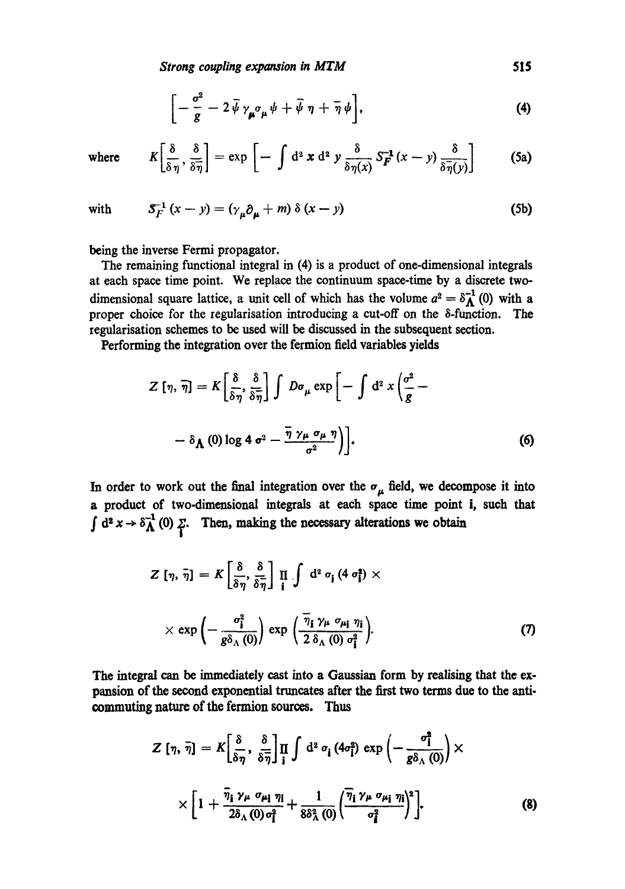*Strong coupling expansion in MTM* 6515

$$
\left[-\frac{\sigma^2}{g}-2\,\bar{\psi}\,\gamma_{\mu}\sigma_{\mu}\,\psi+\bar{\psi}\,\eta+\bar{\eta}\,\psi\right],\tag{4}
$$

where  $K\left[\frac{\delta}{\delta\eta},\frac{\delta}{\delta\eta}\right] = \exp\left[-\int d^2 x d^2 y \frac{\delta}{\delta\eta(x)} S_F^{-1}(x-y) \frac{\delta}{\delta\eta(y)}\right]$  $(5a)$ 

with 
$$
S_F^{-1}(x-y) = (\gamma_\mu \partial_\mu + m) \delta(x-y)
$$
 (5b)

being the inverse Fermi propagator.

The remaining functional integral in (4) is a product of one-dimensional integrals at each space time point. We replace the continuum space-time by a discrete twodimensional square lattice, a unit cell of which has the volume  $a^2 = \delta_{\mathbf{\Lambda}}^{-1}(0)$  with a proper choice for the tegularisation introducing a cut-off on the 8-function. The regularisation schemes to be used will be discussed in the subsequent section.

Performing the integration over the fermion field variables yields

$$
Z\left[\eta,\,\overline{\eta}\right] = K\left[\frac{\delta}{\delta\eta},\frac{\delta}{\delta\overline{\eta}}\right] \int D\sigma_{\mu} \exp\left[-\int d^2 x \left(\frac{\sigma^2}{g} - \right. \\ - \delta_{\Lambda}\left(0\right) \log 4 \sigma^2 - \frac{\overline{\eta} \gamma_{\mu} \sigma_{\mu} \eta}{\sigma^2}\right)\right].
$$
 (6)

In order to work out the final integration over the  $\sigma_{\mu}$  field, we decompose it into a product of two-dimensional integrals at each space time point i, such that  $\int d^2 x \to \delta_{\Lambda}^{-1}(0)$   $\sum_i$ . Then, making the necessary alterations we obtain

$$
Z [\eta, \bar{\eta}] = K \left[ \frac{\delta}{\delta \eta}, \frac{\delta}{\delta \bar{\eta}} \right] \prod_{i} \int d^{2} \sigma_{i} (4 \sigma_{i}^{2}) \times
$$
  
 
$$
\times \exp \left( - \frac{\sigma_{i}^{2}}{g \delta_{\Lambda}(0)} \right) \exp \left( \frac{\bar{\eta}_{i} \gamma_{\mu} \sigma_{\mu_{i}} \eta_{i}}{2 \delta_{\Lambda}(0) \sigma_{i}^{2}} \right).
$$
 (7)

The integral can be immediately cast into a Gaussian form by realising that the expansion of the second exponential truncates after the first two terms due to the anti. commuting nature of the fermion sources. Thus

$$
Z\left[\eta,\,\overline{\eta}\right] = K\left[\frac{\delta}{\delta\eta},\,\frac{\delta}{\delta\overline{\eta}}\right]\prod_{i}\int d^{2}\,\sigma_{i}\left(4\sigma_{i}^{2}\right)\exp\left(-\frac{\sigma_{i}^{2}}{g\delta_{\Lambda}\left(0\right)}\right)\times
$$
\n
$$
\times\left[1+\frac{\overline{\eta}_{i}\,\gamma_{\mu}\,\sigma_{\mu_{i}}\,\eta_{i}}{2\delta_{\Lambda}\left(0\right)\sigma_{i}^{2}}+\frac{1}{8\delta_{\Lambda}^{2}\left(0\right)}\left(\frac{\overline{\eta}_{i}\,\gamma_{\mu}\,\sigma_{\mu_{i}}\,\eta_{i}}{\sigma_{i}^{2}}\right)^{2}\right].\tag{8}
$$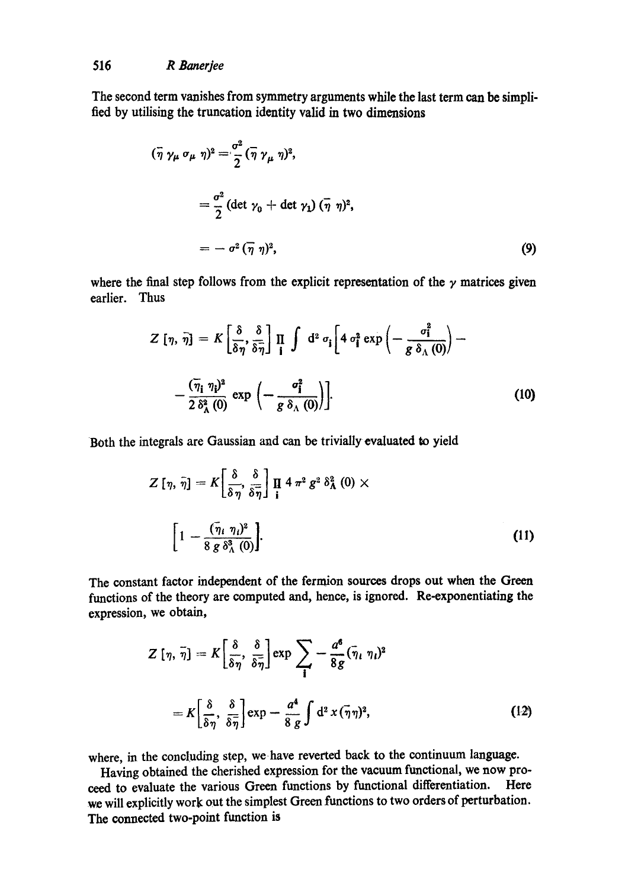The second term vanishes from symmetry arguments while the last term can be simplified by utilising the truncation identity valid in two dimensions

$$
(\overline{\eta} \gamma_{\mu} \sigma_{\mu} \eta)^{2} = \frac{\sigma^{2}}{2} (\overline{\eta} \gamma_{\mu} \eta)^{2},
$$
  

$$
= \frac{\sigma^{2}}{2} (\det \gamma_{0} + \det \gamma_{1}) (\overline{\eta} \eta)^{2},
$$
  

$$
= - \sigma^{2} (\overline{\eta} \eta)^{2}, \qquad (9)
$$

where the final step follows from the explicit representation of the  $\gamma$  matrices given earlier. Thus

$$
Z\left[\eta,\,\tilde{\eta}\right] = K\left[\frac{\delta}{\delta\eta},\frac{\delta}{\delta\tilde{\eta}}\right]\prod_{\mathbf{i}}\int d^2\,\sigma_{\mathbf{i}}\left[4\,\sigma_{\mathbf{i}}^2\exp\left(-\frac{\sigma_{\mathbf{i}}^2}{g\,\delta_{\Lambda}\left(0\right)}\right) - \frac{\left(\overline{\eta}_{\mathbf{i}}\,\eta_{\mathbf{i}}\right)^2}{2\,\delta_{\Lambda}^2\left(0\right)}\exp\left(-\frac{\sigma_{\mathbf{i}}^2}{g\,\delta_{\Lambda}\left(0\right)}\right)\right].\tag{10}
$$

 $\overline{a}$ 

Both the integrals are Gaussian and can be trivially evaluated to yield

$$
Z\left[\eta,\,\tilde{\eta}\right] = K\left[\frac{\delta}{\delta\,\eta},\frac{\delta}{\delta\,\tilde{\eta}}\right]\,\prod_{\mathbf{i}}\,4\,\pi^2\,g^2\,\delta^2_{\mathbf{A}}\left(0\right)\times
$$
\n
$$
\left[1-\frac{(\bar{\eta}_i\,\eta_i)^2}{8\,g\,\delta^3_{\Lambda}\left(0\right)}\right].\tag{11}
$$

The constant factor independent of the fermion sources drops out when the Green functions of the theory are computed and, hence, is ignored. Re-exponentiating the expression, we obtain,

$$
Z\left[\eta,\,\tilde{\eta}\right] = K\left[\frac{\delta}{\delta\eta},\,\frac{\delta}{\delta\bar{\eta}}\right] \exp\sum_{\mathbf{i}} -\frac{a^{\mathbf{6}}}{8g}(\bar{\eta}_{\mathbf{i}}\,\eta_{\mathbf{i}})^2
$$
\n
$$
= K\left[\frac{\delta}{\delta\eta},\,\frac{\delta}{\delta\bar{\eta}}\right] \exp\left(-\frac{a^{\mathbf{4}}}{8\,g}\int d^2x\,(\bar{\eta}\eta)^2,\right] \tag{12}
$$

where, in the concluding step, we.have reverted back to the continuum language.

Having obtained the cherished expression for the vacuum functional, we now proceed to evaluate the various Green functions by functional differentiation. Here we will explicitly work out the simplest Green functions to two orders of perturbation. The connected two-point function is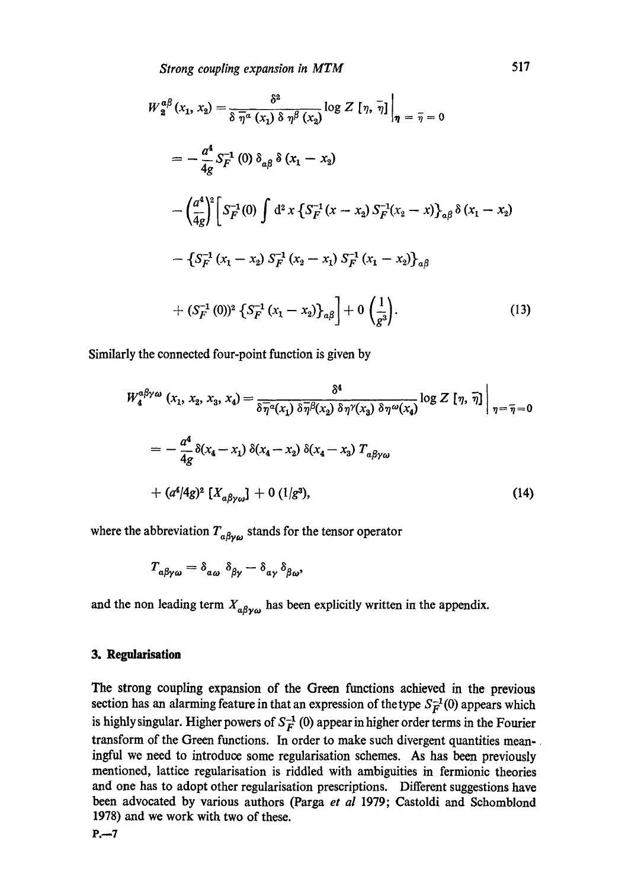*Strong coupling expansion in MTM* 517

$$
W_2^{a\beta}(x_1, x_2) = \frac{\delta^2}{\delta \overline{\eta}^a(x_1) \delta \eta^\beta(x_2)} \log Z [\eta, \overline{\eta}]_{\eta} = \overline{\eta} = 0
$$
  

$$
= -\frac{a^4}{4g} S_F^{-1} (0) \delta_{a\beta} \delta (x_1 - x_2)
$$
  

$$
- \left(\frac{a^4}{4g}\right)^2 \left[ S_F^{-1} (0) \int d^2 x \left\{ S_F^{-1} (x - x_2) S_F^{-1} (x_2 - x) \right\}_{a\beta} \delta (x_1 - x_2)
$$
  

$$
- \left\{ S_F^{-1} (x_1 - x_2) S_F^{-1} (x_2 - x_1) S_F^{-1} (x_1 - x_2) \right\}_{a\beta}
$$
  

$$
+ (S_F^{-1} (0))^2 \left\{ S_F^{-1} (x_1 - x_2) \right\}_{a\beta} + 0 \left(\frac{1}{g^3}\right).
$$
 (13)

Similarly the connected four-point function is given by

$$
W_4^{\alpha\beta\gamma\omega} (x_1, x_2, x_3, x_4) = \frac{\delta^4}{\delta \overline{\eta}^{\alpha}(x_1) \delta \overline{\eta}^{\beta}(x_2) \delta \eta^{\gamma}(x_3) \delta \eta^{\omega}(x_4)} \log Z [\eta, \overline{\eta}] \Big|_{\eta = \overline{\eta} = 0}
$$
  
= 
$$
- \frac{a^4}{4g} \delta(x_4 - x_1) \delta(x_4 - x_2) \delta(x_4 - x_3) T_{\alpha\beta\gamma\omega}
$$
  
+ 
$$
(\alpha^4/4g)^2 [X_{\alpha\beta\gamma\omega}] + 0 (1/g^3), \qquad (14)
$$

where the abbreviation  $T_{\alpha\beta\gamma\omega}$  stands for the tensor operator

$$
T_{a\beta\gamma\omega} = \delta_{a\omega} \delta_{\beta\gamma} - \delta_{a\gamma} \delta_{\beta\omega},
$$

and the non leading term  $X_{\alpha\beta\gamma\omega}$  has been explicitly written in the appendix.

#### **3. Regularisafion**

The strong coupling expansion of the Green functions achieved in the previous section has an alarming feature in that an expression of the type  $S_F^{-1}(0)$  appears which is highly singular. Higher powers of  $S_F^{-1}(0)$  appear in higher order terms in the Fourier transform of the Green functions. In order to make such divergent quantities meaningful we need to introduce some regularisation schemes. As has been previously mentioned, lattice regularisation is riddled with ambiguities in fermionic theories and one has to adopt other regularisation prescriptions. Different suggestions have been advocated by various authors (Parga *et al* 1979; Castoldi and Sehomblond 1978) and we work with two of these.

 $P. - 7$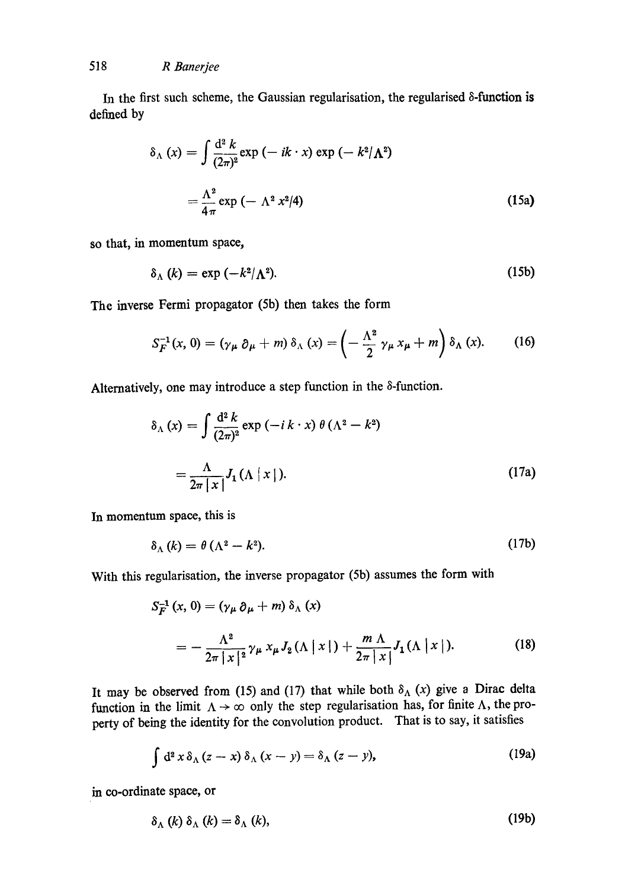In the first such scheme, the Gaussian regularisation, the regularised  $\delta$ -function is defined by

$$
\delta_{\Lambda}(x) = \int \frac{d^2 k}{(2\pi)^2} \exp(-ik \cdot x) \exp(-k^2/\Lambda^2)
$$

$$
= \frac{\Lambda^2}{4\pi} \exp(-\Lambda^2 x^2/4)
$$
(15a)

so that, in momentum space,

$$
\delta_{\Lambda}(k) = \exp\left(-k^2/\Lambda^2\right). \tag{15b}
$$

The inverse Fermi propagator (5b) then takes the form

$$
S_F^{-1}(x, 0) = (\gamma_\mu \partial_\mu + m) \delta_\Lambda(x) = \left(-\frac{\Lambda^2}{2} \gamma_\mu x_\mu + m\right) \delta_\Lambda(x). \tag{16}
$$

Alternatively, one may introduce a step function in the  $\delta$ -function.

$$
\delta_{\Lambda}(x) = \int \frac{d^2 k}{(2\pi)^2} \exp(-ik \cdot x) \theta(\Lambda^2 - k^2)
$$

$$
= \frac{\Lambda}{2\pi |x|} J_1(\Lambda |x|). \tag{17a}
$$

In momentum space, this is

$$
\delta_{\Lambda}(k) = \theta \left( \Lambda^2 - k^2 \right). \tag{17b}
$$

With this regularisation, the inverse propagator (5b) assumes the form with

$$
S_F^{-1}(x, 0) = (\gamma_\mu \partial_\mu + m) \delta_\Lambda(x)
$$
  
= 
$$
- \frac{\Lambda^2}{2\pi |x|^2} \gamma_\mu x_\mu J_2(\Lambda |x|) + \frac{m \Lambda}{2\pi |x|} J_1(\Lambda |x|).
$$
 (18)

It may be observed from (15) and (17) that while both  $\delta_{\Lambda}$  (x) give a Dirac delta function in the limit  $\Lambda \to \infty$  only the step regularisation has, for finite  $\Lambda$ , the properry of being the identity for the convolution product. That is to say, it satisfies

$$
\int d^2 x \, \delta_\Lambda (z-x) \, \delta_\Lambda (x-y) = \delta_\Lambda (z-y), \tag{19a}
$$

in co-ordinate space, or

$$
\delta_{\Lambda}(k) \delta_{\Lambda}(k) = \delta_{\Lambda}(k), \qquad (19b)
$$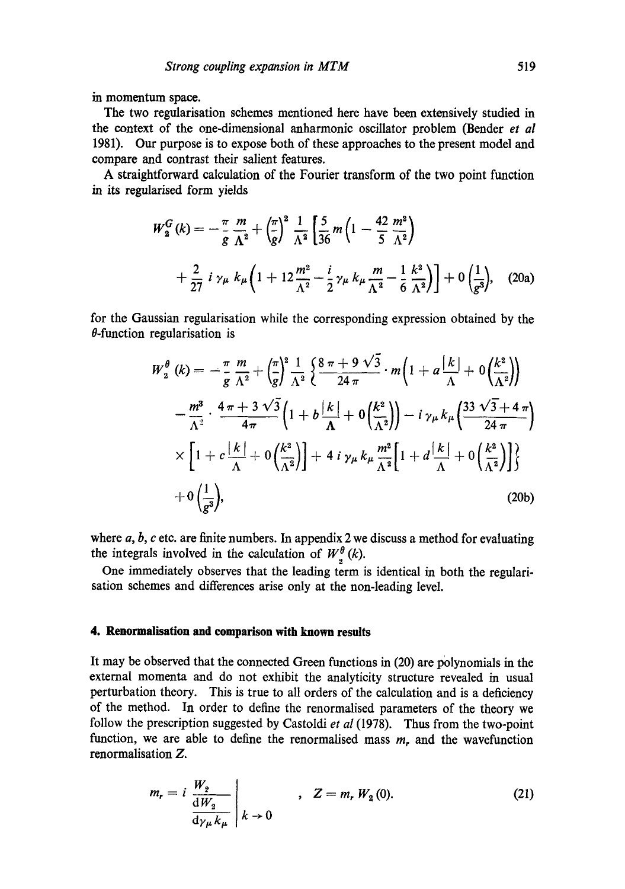in momentum space.

The two regularisation schemes mentioned here have been extensively studied in the context of the one-dimensional anharmonie oscillator problem (Bender *et al*  1981). Our purpose is to expose both of these approaches to the present model and compare and contrast their salient features.

A straightforward calculation of the Fourier transform of the two point function in its regularised form yields

$$
W_2^G(k) = -\frac{\pi}{g} \frac{m}{\Lambda^2} + \left(\frac{\pi}{g}\right)^2 \frac{1}{\Lambda^2} \left[\frac{5}{36} m \left(1 - \frac{42}{5} \frac{m^2}{\Lambda^2}\right) + \frac{2}{27} i \gamma_\mu k_\mu \left(1 + 12 \frac{m^2}{\Lambda^2} - \frac{i}{2} \gamma_\mu k_\mu \frac{m}{\Lambda^2} - \frac{1}{6} \frac{k^2}{\Lambda^2}\right)\right] + 0 \left(\frac{1}{g^3}\right), \quad (20a)
$$

**for** the Gaussian regularisation while the corresponding expression obtained by the  $\theta$ -function regularisation is

$$
W_2^{\theta} (k) = -\frac{\pi}{g} \frac{m}{\Lambda^2} + \left(\frac{\pi}{g}\right)^2 \frac{1}{\Lambda^2} \left\{ \frac{8 \pi + 9 \sqrt{3}}{24 \pi} \cdot m \left( 1 + a \frac{|k|}{\Lambda} + 0 \left( \frac{k^2}{\Lambda^2} \right) \right) \right\}
$$
  

$$
- \frac{m^3}{\Lambda^2} \cdot \frac{4 \pi + 3 \sqrt{3}}{4 \pi} \left( 1 + b \frac{|k|}{\Lambda} + 0 \left( \frac{k^2}{\Lambda^2} \right) \right) - i \gamma_{\mu} k_{\mu} \left( \frac{33 \sqrt{3} + 4 \pi}{24 \pi} \right)
$$
  

$$
\times \left[ 1 + c \frac{|k|}{\Lambda} + 0 \left( \frac{k^2}{\Lambda^2} \right) \right] + 4 i \gamma_{\mu} k_{\mu} \frac{m^2}{\Lambda^2} \left[ 1 + d \frac{|k|}{\Lambda} + 0 \left( \frac{k^2}{\Lambda^2} \right) \right] \right\}
$$
  
+ 0  $\left( \frac{1}{g^3} \right)$ , (20b)

where  $a, b, c$  etc. are finite numbers. In appendix 2 we discuss a method for evaluating the integrals involved in the calculation of  $W^{\theta}_{\alpha}(k)$ .

One immediately observes that the leading term is identical in both the regularisation schemes and differences arise only at the non-leading level.

### **4. Renormalisation and comparison with known results**

It may be observed that the connected Green functions in (20) are polynomials in the external momenta and do not exhibit the analyticity structure revealed in usual perturbation theory. This is true to all orders of the calculation and is a deficiency of the method. In order to define the renormalised parameters of the theory we follow the prescription suggested by Castoldi *et al* (1978). Thus from the two-point function, we are able to define the renormalised mass  $m<sub>r</sub>$  and the wavefunction renormalisation Z.

$$
m_r = i \frac{W_2}{\frac{dW_2}{d\gamma_{\mu}k_{\mu}}} \Bigg|_{k \to 0} , \quad Z = m_r W_2(0). \tag{21}
$$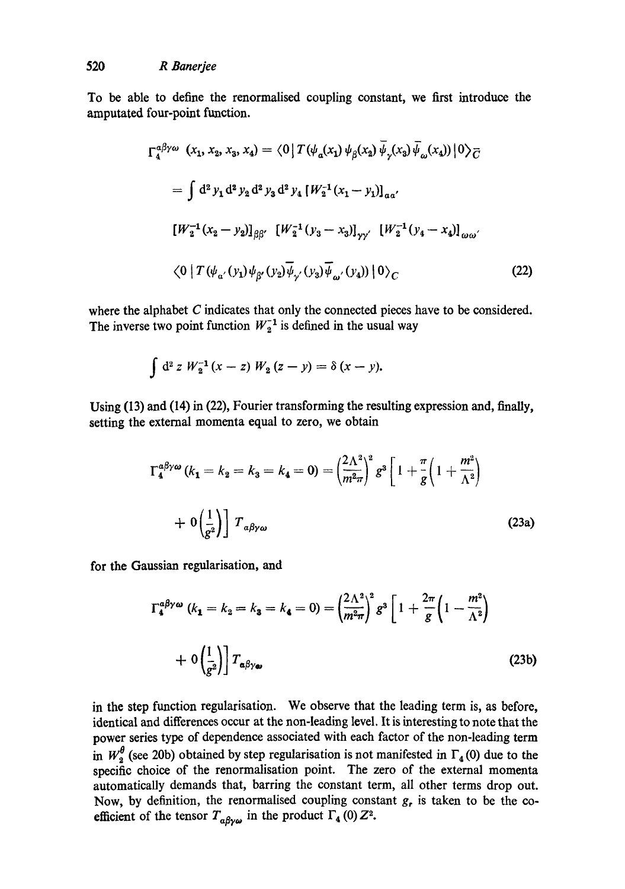To be able to define the renormalised coupling constant, we first introduce the amputated four-point function.

$$
\Gamma_4^{\alpha\beta\gamma\omega} (x_1, x_2, x_3, x_4) = \langle 0 | T(\psi_a(x_1) \psi_\beta(x_2) \overline{\psi}_\gamma(x_3) \overline{\psi}_\omega(x_4)) | 0 \rangle_{\overline{C}}
$$
  
\n
$$
= \int d^2 y_1 d^2 y_2 d^2 y_3 d^2 y_4 [W_2^{-1}(x_1 - y_1)]_{\alpha\alpha'}
$$
  
\n
$$
[W_2^{-1}(x_2 - y_2)]_{\beta\beta'} [W_2^{-1}(y_3 - x_3)]_{\gamma\gamma'} [W_2^{-1}(y_4 - x_4)]_{\omega\omega'}
$$
  
\n
$$
\langle 0 | T(\psi_{\alpha'}(y_1) \psi_{\beta'}(y_2) \overline{\psi}_{\gamma'}(y_3) \overline{\psi}_{\omega'}(y_4)) | 0 \rangle_{\overline{C}}
$$
\n(22)

where the alphabet C indicates that only the connected pieces have to be considered. The inverse two point function  $W_2^{-1}$  is defined in the usual way

$$
\int d^2 z \; W_2^{-1} (x-z) \; W_2 (z-y) = \delta (x-y).
$$

Using (13) and (14) in (22), Fourier transforming the resulting expression and, finally, setting the external momenta equal to zero, we obtain

$$
\Gamma_4^{a\beta\gamma\omega} (k_1 = k_2 = k_3 = k_4 = 0) = \left(\frac{2\Lambda^2}{m^2 \pi}\right)^2 g^3 \left[1 + \frac{\pi}{g} \left(1 + \frac{m^2}{\Lambda^2}\right) + 0 \left(\frac{1}{g^2}\right)\right] T_{a\beta\gamma\omega}
$$
(23a)

for the Gaussian regularisation, and

$$
\Gamma_4^{a\beta\gamma\omega} (k_1 = k_2 = k_3 = k_4 = 0) = \left(\frac{2\Lambda^2}{m^2 \pi}\right)^2 g^3 \left[1 + \frac{2\pi}{g} \left(1 - \frac{m^2}{\Lambda^2}\right) + 0 \left(\frac{1}{g^2}\right)\right] T_{a\beta\gamma\omega}
$$
\n(23b)

in the step function regularisation. We observe that the leading term is, as before, identical and differences occur at the non-leading level. It is interesting to note that the power series type of dependence associated with each factor of the non-leading term in  $W_2^{\sigma}$  (see 20b) obtained by step regularisation is not manifested in  $\Gamma_4(0)$  due to the specific choice of the renormalisation point. The zero of the external momenta automatically demands that, barring the constant term, all other terms drop out. Now, by definition, the renormalised coupling constant  $g_r$  is taken to be the coefficient of the tensor  $T_{\alpha\beta\gamma\omega}$  in the product  $\Gamma_4$  (0)  $Z^2$ .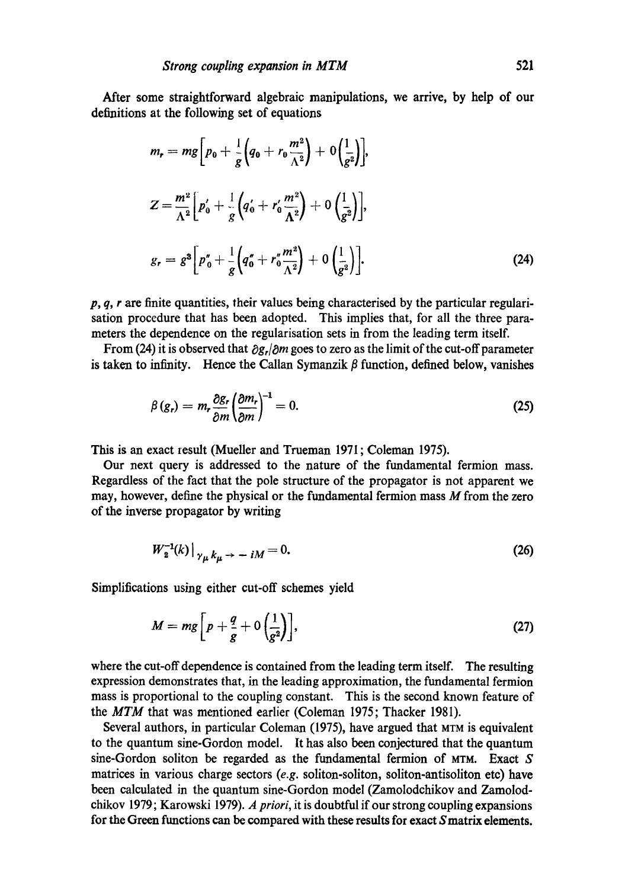After some straightforward algebraic manipulations, we arrive, by help of our definitions at the following set of equations

$$
m_r = mg \left[ p_0 + \frac{1}{g} \left( q_0 + r_0 \frac{m^2}{\Lambda^2} \right) + 0 \left( \frac{1}{g^2} \right) \right],
$$
  
\n
$$
Z = \frac{m^2}{\Lambda^2} \left[ p'_0 + \frac{1}{g} \left( q'_0 + r'_0 \frac{m^2}{\Lambda^2} \right) + 0 \left( \frac{1}{g^2} \right) \right],
$$
  
\n
$$
g_r = g^3 \left[ p''_0 + \frac{1}{g} \left( q''_0 + r''_0 \frac{m^2}{\Lambda^2} \right) + 0 \left( \frac{1}{g^2} \right) \right].
$$
\n(24)

*p, q, r* are finite quantities, their values being characterised by the particular regularisation procedure that has been adopted. This implies that, for all the three parameters the dependence on the regularisation sets in from the leading term itself.

From (24) it is observed that  $\partial g_r/\partial m$  goes to zero as the limit of the cut-off parameter is taken to infinity. Hence the Callan Symanzik  $\beta$  function, defined below, vanishes

$$
\beta(g_r) = m_r \frac{\partial g_r}{\partial m} \left(\frac{\partial m_r}{\partial m}\right)^{-1} = 0. \tag{25}
$$

This is an exact result (Mueller and Trueman 1971 ; Coleman 1975).

Our next query is addressed to the nature of the fundamental fermion mass. Regardless of the fact that the pole structure of the propagator is not apparent we may, however, define the physical or the fundamental fermion mass  $M$  from the zero of the inverse propagator by writing

$$
W_2^{-1}(k)|_{\gamma_{\mu} k_{\mu} \to -iM} = 0. \tag{26}
$$

Simplifications using either cut-off schemes yield

$$
M = mg \left[ p + \frac{q}{g} + 0 \left( \frac{1}{g^2} \right) \right],
$$
 (27)

where the cut-off dependence is contained from the leading term itself. The resulting expression demonstrates that, in the leading approximation, the fundamental fermion mass is proportional to the coupling constant. This is the second known feature of the *MTM* that was mentioned earlier (Coleman 1975; Thacker 1981).

Several authors, in particular Coleman (1975), have argued that MTM is equivalent to the quantum sine-Gordon model. It has also been conjectured that the quantum sine-Gordon soliton be regarded as the fundamental fermion of MTM. Exact S matrices in various charge sectors *(e.g.* soliton-soliton, soliton-antisoliton ere) have been calculated in the quantum sine-Gordon model (Zamolodchikov and Zamolodchikov 1979; Karowski 1979). *A priori,* it is doubtful if our strong coupling expansions for the Green functions can be compared with these results for exact Smatrix elements.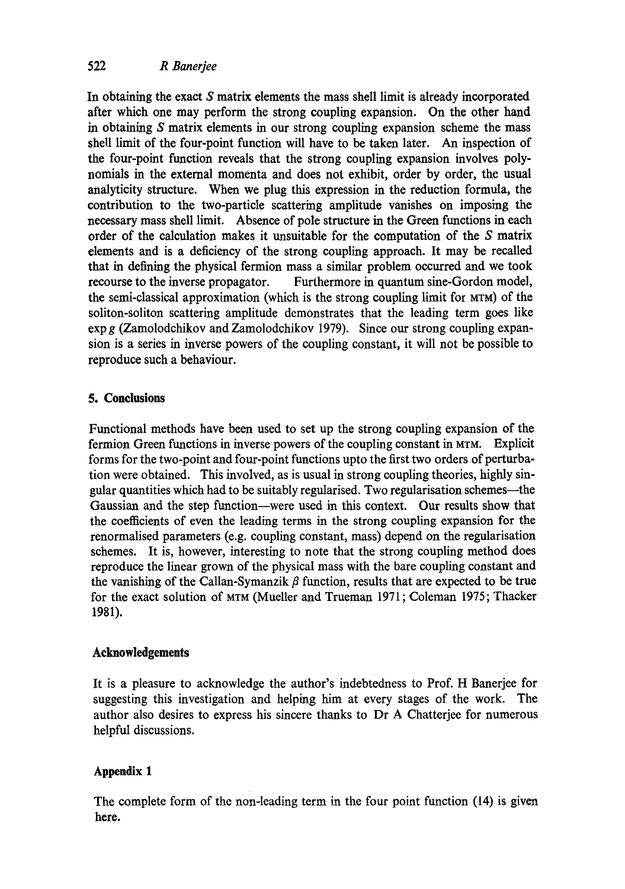In obtaining the exact S matrix elements the mass shell limit is already incorporated after which one may perform the strong coupling expansion. On the other hand in obtaining S matrix elements in our strong coupling expansion scheme the mass shell limit of the four-point function will have to be taken later. An inspection of the four-point function reveals that the strong coupling expansion involves polynomials in the external momenta and does not exhibit, order by order, the usual analyticity structure. When we plug this expression in the reduction formula, the contribution to the two-particle scattering amplitude vanishes on imposing the necessary mass shell limit. Absence of pole structure in the Green functions in each order of the calculation makes it unsuitable for the computation of the S matrix elements and is a deficiency of the strong coupling approach. It may be recalled that in defining the physical fermion mass a similar problem occurred and we took recourse to the inverse propagator. Furthermore in quantum sine-Gordon model, the semi-classical approximation (which is the strong coupling limit for MTM) of the soliton-soliton scattering amplitude demonstrates that the leading term goes like exp g (Zamolodchikov and Zamolodchikov 1979). Since our strong coupling expansion is a series in inverse powers of the coupling constant, it will not be possible to reproduce such a behaviour.

### **5. Conclusions**

Functional methods have been used to set up the strong coupling expansion of the fermion Green functions in inverse powers of the coupling constant in MTM. Explicit forms for the two-point and four-point functions upto the first two orders of perturbation were obtained. This involved, as is usual in strong coupling theories, highly singular quantities which had to be suitably regularised. Two regularisation schemes--the Gaussian and the step function--were used in this context. Our results show that the coefficients of even the leading terms in the strong coupling expansion for the renormalised parameters (e.g. coupling constant, mass) depend on the regularisation schemes. It is, however, interesting to note that the strong coupling method does reproduce the linear grown of the physical mass with the bare coupling constant and the vanishing of the Callan-Symanzik  $\beta$  function, results that are expected to be true for the exact solution of MTM (Mueller and Trueman 1971; Coleman 1975; Thacker 1981).

### **Acknowledgements**

It is a pleasure to acknowledge the author's indebtedness to Prof. H Banerjee for suggesting this investigation and helping him at every stages of the work. The author also desires to express his sincere thanks to Dr A Chatterjee for numerous helpful discussions.

### **Appendix 1**

The complete form of the non-leading term in the four point function (14) is given here.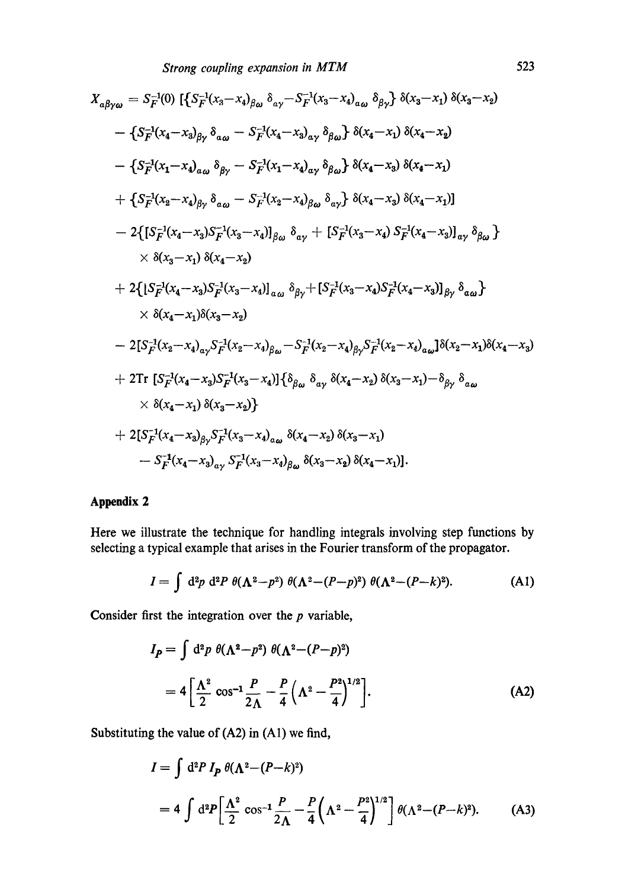$$
X_{\alpha\beta\gamma\omega} = S_F^{-1}(0) \left[ \left\{ S_F^{-1}(x_3 - x_4)_{\beta\omega} \delta_{\alpha\gamma} - S_F^{-1}(x_3 - x_4)_{\alpha\omega} \delta_{\beta\gamma} \right\} \delta(x_3 - x_1) \delta(x_3 - x_2) \right. \\ - \left\{ S_F^{-1}(x_4 - x_3)_{\beta\gamma} \delta_{\alpha\omega} - S_F^{-1}(x_4 - x_3)_{\alpha\gamma} \delta_{\beta\omega} \right\} \delta(x_4 - x_1) \delta(x_4 - x_2) \\ - \left\{ S_F^{-1}(x_1 - x_4)_{\alpha\omega} \delta_{\beta\gamma} - S_F^{-1}(x_1 - x_4)_{\alpha\gamma} \delta_{\beta\omega} \right\} \delta(x_4 - x_3) \delta(x_4 - x_1) \\ + \left\{ S_F^{-1}(x_2 - x_4)_{\beta\gamma} \delta_{\alpha\omega} - S_F^{-1}(x_2 - x_4)_{\beta\omega} \delta_{\alpha\gamma} \right\} \delta(x_4 - x_3) \delta(x_4 - x_1) \right] \\ - 2 \left\{ \left[ S_F^{-1}(x_4 - x_3) S_F^{-1}(x_3 - x_4) \right]_{\beta\omega} \delta_{\alpha\gamma} + \left[ S_F^{-1}(x_3 - x_4) S_F^{-1}(x_4 - x_3) \right]_{\alpha\gamma} \delta_{\beta\omega} \right\} \\ \times \delta(x_3 - x_1) \delta(x_4 - x_2) \\ + 2 \left\{ \left[ S_F^{-1}(x_4 - x_3) S_F^{-1}(x_3 - x_4) \right]_{\alpha\omega} \delta_{\beta\gamma} + \left[ S_F^{-1}(x_3 - x_4) S_F^{-1}(x_4 - x_3) \right]_{\beta\gamma} \delta_{\alpha\omega} \right\} \\ \times \delta(x_4 - x_1) \delta(x_3 - x_2) \\ - 2 \left[ S_F^{-1}(x_2 - x_4)_{\alpha\gamma} S_F^{-1}(x_2 - x_4)_{\beta\omega} - S_F^{-1}(x_2 - x_4)_{\beta\gamma} S_F^{-1}(x_2 - x_4)_{\alpha\omega} \right] \delta(x_2 - x_1) \delta(x_4 - x_3) \\ + 2 \text{Tr} \left\{ S_F^{-1}(x_4 - x_3) S_F^{-1
$$

# **Appendix 2**

Here we illustrate the technique for handling integrals involving step functions by selecting a typical example that arises in the Fourier transform of the propagator.

$$
I = \int d^2p \; d^2P \; \theta(\Lambda^2 - p^2) \; \theta(\Lambda^2 - (P - p)^2) \; \theta(\Lambda^2 - (P - k)^2). \tag{A1}
$$

Consider first the integration over the  $p$  variable,

$$
I_P = \int d^2p \; \theta(\Lambda^2 - p^2) \; \theta(\Lambda^2 - (P - p)^2)
$$
  
=  $4 \left[ \frac{\Lambda^2}{2} \cos^{-1} \frac{P}{2\Lambda} - \frac{P}{4} \left( \Lambda^2 - \frac{P^2}{4} \right)^{1/2} \right].$  (A2)

Substituting the value of (A2) in (A1) we find,

$$
I = \int d^2 P \, I_P \, \theta(\Lambda^2 - (P - k)^2)
$$
  
=  $4 \int d^2 P \left[ \frac{\Lambda^2}{2} \cos^{-1} \frac{P}{2\Lambda} - \frac{P}{4} \left( \Lambda^2 - \frac{P^2}{4} \right)^{1/2} \right] \theta(\Lambda^2 - (P - k)^2).$  (A3)